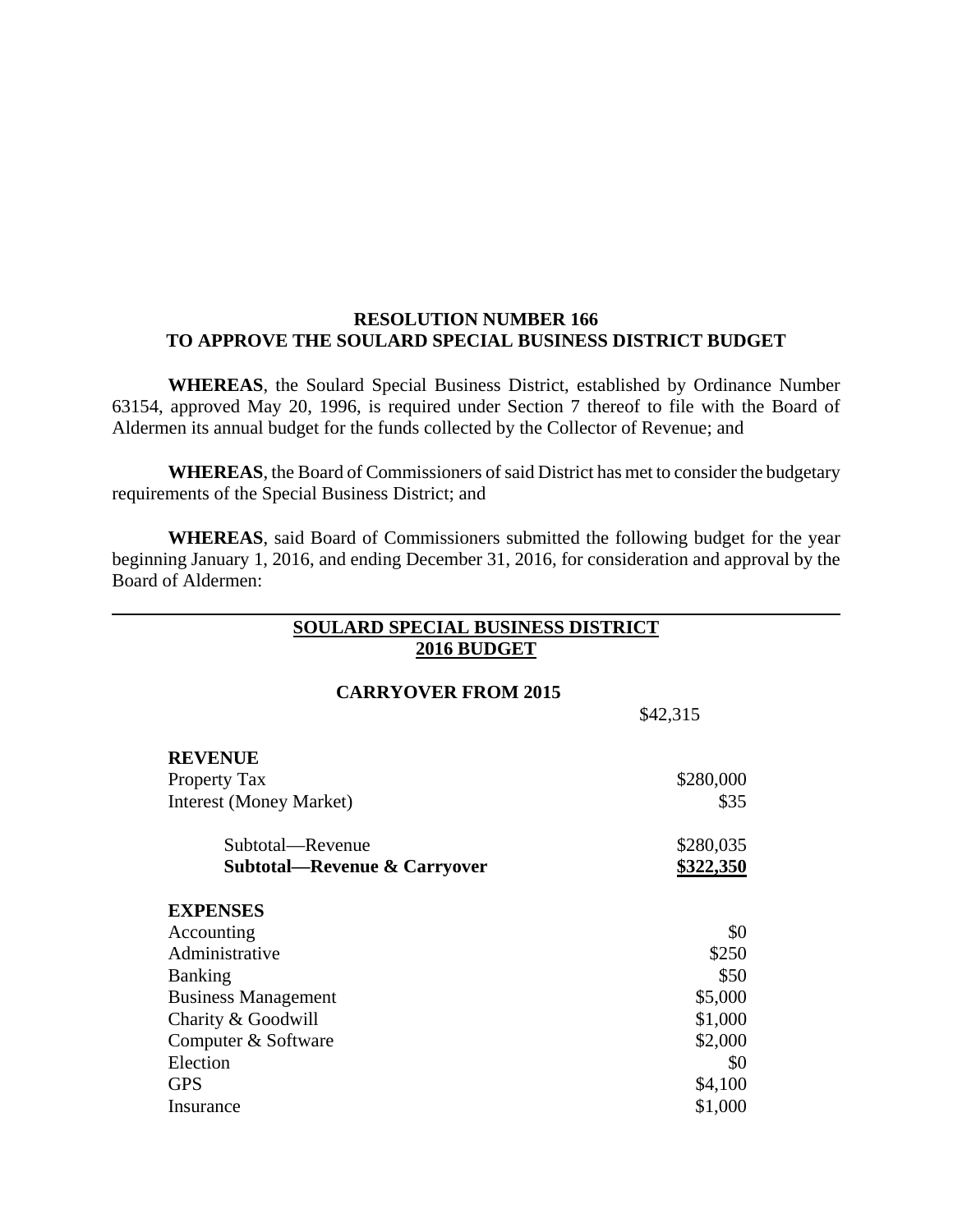## **RESOLUTION NUMBER 166 TO APPROVE THE SOULARD SPECIAL BUSINESS DISTRICT BUDGET**

**WHEREAS**, the Soulard Special Business District, established by Ordinance Number 63154, approved May 20, 1996, is required under Section 7 thereof to file with the Board of Aldermen its annual budget for the funds collected by the Collector of Revenue; and

**WHEREAS**, the Board of Commissioners of said District has met to consider the budgetary requirements of the Special Business District; and

**WHEREAS**, said Board of Commissioners submitted the following budget for the year beginning January 1, 2016, and ending December 31, 2016, for consideration and approval by the Board of Aldermen:

## **SOULARD SPECIAL BUSINESS DISTRICT 2016 BUDGET**

## **CARRYOVER FROM 2015**

|                                         | \$42,315  |
|-----------------------------------------|-----------|
| <b>REVENUE</b>                          |           |
| Property Tax                            | \$280,000 |
| <b>Interest (Money Market)</b>          | \$35      |
| Subtotal—Revenue                        | \$280,035 |
| <b>Subtotal—Revenue &amp; Carryover</b> | \$322,350 |
| <b>EXPENSES</b>                         |           |
| Accounting                              | \$0       |
| Administrative                          | \$250     |
| <b>Banking</b>                          | \$50      |
| <b>Business Management</b>              | \$5,000   |
| Charity & Goodwill                      | \$1,000   |
| Computer & Software                     | \$2,000   |
| Election                                | \$0       |
| <b>GPS</b>                              | \$4,100   |
| Insurance                               | \$1,000   |